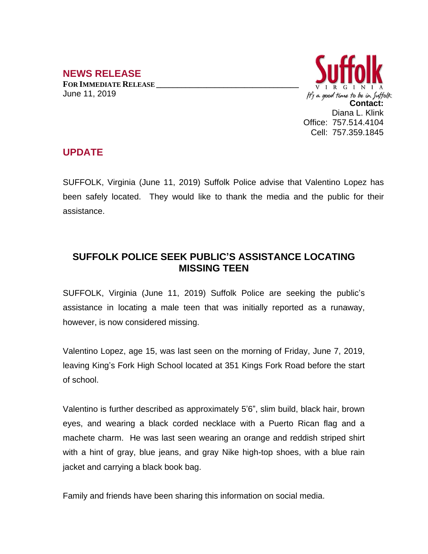## **NEWS RELEASE**

**FOR IMMEDIATE RELEASE \_\_\_\_\_\_\_\_\_\_\_\_\_\_\_\_\_\_\_\_\_\_\_\_\_\_\_\_\_\_\_\_\_\_** June 11, 2019



## **UPDATE**

SUFFOLK, Virginia (June 11, 2019) Suffolk Police advise that Valentino Lopez has been safely located. They would like to thank the media and the public for their assistance.

## **SUFFOLK POLICE SEEK PUBLIC'S ASSISTANCE LOCATING MISSING TEEN**

SUFFOLK, Virginia (June 11, 2019) Suffolk Police are seeking the public's assistance in locating a male teen that was initially reported as a runaway, however, is now considered missing.

Valentino Lopez, age 15, was last seen on the morning of Friday, June 7, 2019, leaving King's Fork High School located at 351 Kings Fork Road before the start of school.

Valentino is further described as approximately 5'6", slim build, black hair, brown eyes, and wearing a black corded necklace with a Puerto Rican flag and a machete charm. He was last seen wearing an orange and reddish striped shirt with a hint of gray, blue jeans, and gray Nike high-top shoes, with a blue rain jacket and carrying a black book bag.

Family and friends have been sharing this information on social media.